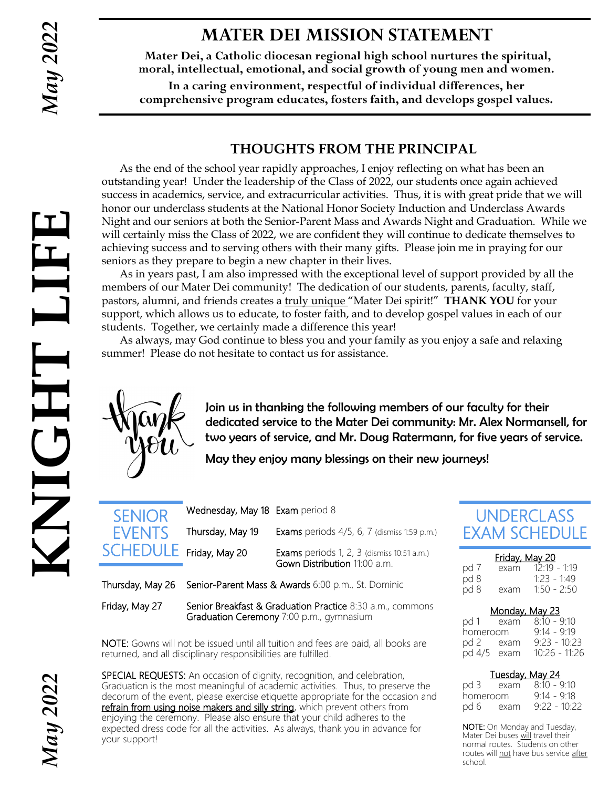## **MATER DEI MISSION STATEMENT**

**Mater Dei, a Catholic diocesan regional high school nurtures the spiritual, moral, intellectual, emotional, and social growth of young men and women.**

**In a caring environment, respectful of individual differences, her comprehensive program educates, fosters faith, and develops gospel values.**

### **THOUGHTS FROM THE PRINCIPAL**

As the end of the school year rapidly approaches, I enjoy reflecting on what has been an outstanding year! Under the leadership of the Class of 2022, our students once again achieved success in academics, service, and extracurricular activities. Thus, it is with great pride that we will honor our underclass students at the National Honor Society Induction and Underclass Awards Night and our seniors at both the Senior-Parent Mass and Awards Night and Graduation. While we will certainly miss the Class of 2022, we are confident they will continue to dedicate themselves to achieving success and to serving others with their many gifts. Please join me in praying for our seniors as they prepare to begin a new chapter in their lives.

As in years past, I am also impressed with the exceptional level of support provided by all the members of our Mater Dei community! The dedication of our students, parents, faculty, staff, pastors, alumni, and friends creates a truly unique "Mater Dei spirit!" **THANK YOU** for your support, which allows us to educate, to foster faith, and to develop gospel values in each of our students. Together, we certainly made a difference this year!

As always, may God continue to bless you and your family as you enjoy a safe and relaxing summer! Please do not hesitate to contact us for assistance.



Join us in thanking the following members of our faculty for their dedicated service to the Mater Dei community: Mr. Alex Normansell, for two years of service, and Mr. Doug Ratermann, for five years of service.

May they enjoy many blessings on their new journeys!

SENIOR **EVENTS** 

| Thursday, May 19    | <b>Exams</b> periods 4/5, 6, 7 (dismiss 1:59 p.m.)                                |
|---------------------|-----------------------------------------------------------------------------------|
| $LE$ Friday, May 20 | <b>Exams</b> periods 1, 2, 3 (dismiss 10:51 a.m.)<br>Gown Distribution 11:00 a.m. |
|                     |                                                                                   |

Thursday, May 26 Senior-Parent Mass & Awards 6:00 p.m., St. Dominic

Wednesday, May 18 Exam period 8

Friday, May 27 Senior Breakfast & Graduation Practice 8:30 a.m., commons Graduation Ceremony 7:00 p.m., gymnasium

NOTE: Gowns will not be issued until all tuition and fees are paid, all books are returned, and all disciplinary responsibilities are fulfilled.

SPECIAL REQUESTS: An occasion of dignity, recognition, and celebration, Graduation is the most meaningful of academic activities. Thus, to preserve the decorum of the event, please exercise etiquette appropriate for the occasion and refrain from using noise makers and silly string, which prevent others from enjoying the ceremony. Please also ensure that your child adheres to the expected dress code for all the activities. As always, thank you in advance for your support!

## UNDERCLASS EXAM SCHEDULE

| Friday, May 20 |      |                |  |  |  |
|----------------|------|----------------|--|--|--|
| pd 7           | exam | $12.19 - 1.19$ |  |  |  |
| pd 8           |      | $1.23 - 1.49$  |  |  |  |
| pd 8           | exam | $1.50 - 2.50$  |  |  |  |

| <u>Monday, May 23</u> |  |                 |  |  |  |
|-----------------------|--|-----------------|--|--|--|
| pd 1 exam             |  | $8:10 - 9:10$   |  |  |  |
| homeroom              |  | $9.14 - 9.19$   |  |  |  |
| pd 2 exam             |  | $9.23 - 10.23$  |  |  |  |
| pd 4/5 exam           |  | $10:26 - 11:26$ |  |  |  |

#### Tuesday, May 24

|          | <u>. accady may be</u> |                |
|----------|------------------------|----------------|
| pd 3     | exam                   | $8:10 - 9:10$  |
| homeroom |                        | $9:14 - 9:18$  |
| pd 6     | exam                   | $9:22 - 10:22$ |

NOTE: On Monday and Tuesday, Mater Dei buses will travel their normal routes. Students on other routes will not have bus service after school.

*May 2022*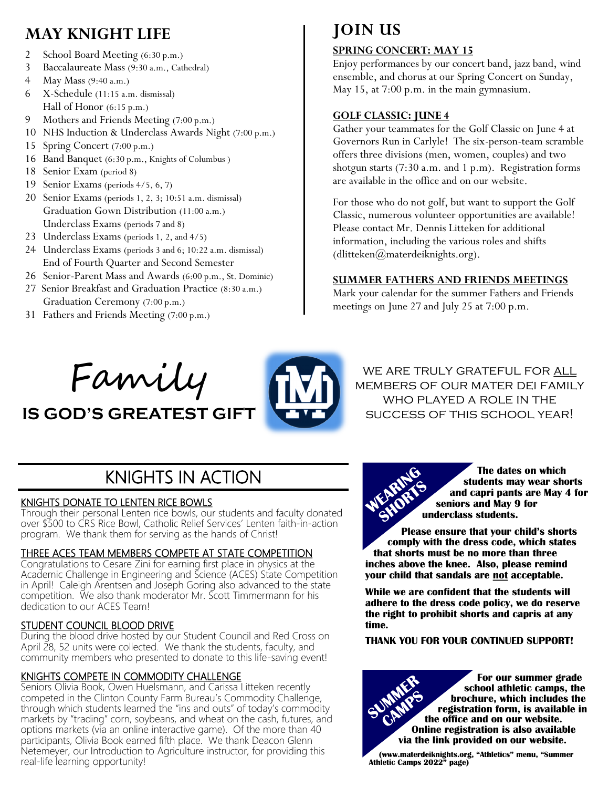## **MAY KNIGHT LIFE**

- 2 School Board Meeting (6:30 p.m.)
- 3 Baccalaureate Mass (9:30 a.m., Cathedral)
- 4 May Mass (9:40 a.m.)
- 6 X-Schedule (11:15 a.m. dismissal) Hall of Honor (6:15 p.m.)
- 9 Mothers and Friends Meeting (7:00 p.m.)
- 10 NHS Induction & Underclass Awards Night (7:00 p.m.)
- 15 Spring Concert (7:00 p.m.)
- 16 Band Banquet (6:30 p.m., Knights of Columbus )
- 18 Senior Exam (period 8)
- 19 Senior Exams (periods 4/5, 6, 7)
- 20 Senior Exams (periods 1, 2, 3; 10:51 a.m. dismissal) Graduation Gown Distribution (11:00 a.m.) Underclass Exams (periods 7 and 8)
- 23 Underclass Exams (periods 1, 2, and 4/5)
- 24 Underclass Exams (periods 3 and 6; 10:22 a.m. dismissal) End of Fourth Quarter and Second Semester
- 26 Senior-Parent Mass and Awards (6:00 p.m., St. Dominic)
- 27 Senior Breakfast and Graduation Practice (8:30 a.m.) Graduation Ceremony (7:00 p.m.)
- 31 Fathers and Friends Meeting (7:00 p.m.)

# **JOIN US**

#### **SPRING CONCERT: MAY 15**

Enjoy performances by our concert band, jazz band, wind ensemble, and chorus at our Spring Concert on Sunday, May 15, at 7:00 p.m. in the main gymnasium.

#### **GOLF CLASSIC: JUNE 4**

Gather your teammates for the Golf Classic on June 4 at Governors Run in Carlyle! The six-person-team scramble offers three divisions (men, women, couples) and two shotgun starts (7:30 a.m. and 1 p.m). Registration forms are available in the office and on our website.

For those who do not golf, but want to support the Golf Classic, numerous volunteer opportunities are available! Please contact Mr. Dennis Litteken for additional information, including the various roles and shifts (dlitteken@materdeiknights.org).

#### **SUMMER FATHERS AND FRIENDS MEETINGS**

Mark your calendar for the summer Fathers and Friends meetings on June 27 and July 25 at 7:00 p.m.



**IS GOD'S GREATEST GIFT**



we are truly grateful for all members of our mater dei family who played a role in the success of this school year!

# KNIGHTS IN ACTION

#### KNIGHTS DONATE TO LENTEN RICE BOWLS

Through their personal Lenten rice bowls, our students and faculty donated over \$500 to CRS Rice Bowl, Catholic Relief Services' Lenten faith-in-action program. We thank them for serving as the hands of Christ!

#### THREE ACES TEAM MEMBERS COMPETE AT STATE COMPETITION

Congratulations to Cesare Zini for earning first place in physics at the Academic Challenge in Engineering and Science (ACES) State Competition in April! Caleigh Arentsen and Joseph Goring also advanced to the state competition. We also thank moderator Mr. Scott Timmermann for his dedication to our ACES Team!

#### STUDENT COUNCIL BLOOD DRIVE

During the blood drive hosted by our Student Council and Red Cross on April 28, 52 units were collected. We thank the students, faculty, and community members who presented to donate to this life-saving event!

#### KNIGHTS COMPETE IN COMMODITY CHALLENGE

Seniors Olivia Book, Owen Huelsmann, and Carissa Litteken recently competed in the Clinton County Farm Bureau's Commodity Challenge, through which students learned the "ins and outs" of today's commodity markets by "trading" corn, soybeans, and wheat on the cash, futures, and options markets (via an online interactive game). Of the more than 40 participants, Olivia Book earned fifth place. We thank Deacon Glenn Netemeyer, our Introduction to Agriculture instructor, for providing this real-life learning opportunity!



**Please ensure that your child's shorts comply with the dress code, which states that shorts must be no more than three inches above the knee. Also, please remind your child that sandals are not acceptable.** 

**While we are confident that the students will adhere to the dress code policy, we do reserve the right to prohibit shorts and capris at any time.** 

#### **THANK YOU FOR YOUR CONTINUED SUPPORT!**

**For our summer grade school athletic camps, the brochure, which includes the registration form, is available in the office and on our website. Online registration is also available via the link provided on our website.**

**(www.materdeiknights.org, "Athletics" menu, "Summer Athletic Camps 2022" page)**